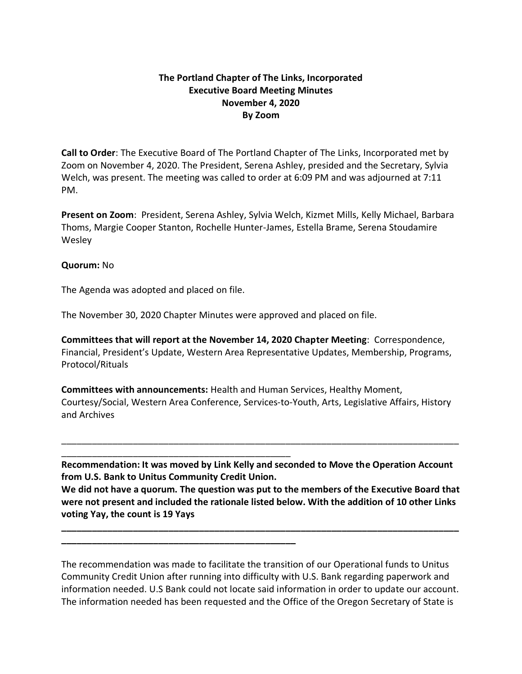## **The Portland Chapter of The Links, Incorporated Executive Board Meeting Minutes November 4, 2020 By Zoom**

**Call to Order**: The Executive Board of The Portland Chapter of The Links, Incorporated met by Zoom on November 4, 2020. The President, Serena Ashley, presided and the Secretary, Sylvia Welch, was present. The meeting was called to order at 6:09 PM and was adjourned at 7:11 PM.

**Present on Zoom**: President, Serena Ashley, Sylvia Welch, Kizmet Mills, Kelly Michael, Barbara Thoms, Margie Cooper Stanton, Rochelle Hunter-James, Estella Brame, Serena Stoudamire Wesley

## **Quorum:** No

The Agenda was adopted and placed on file.

\_\_\_\_\_\_\_\_\_\_\_\_\_\_\_\_\_\_\_\_\_\_\_\_\_\_\_\_\_\_\_\_\_\_\_\_\_\_\_\_\_\_\_\_\_

**\_\_\_\_\_\_\_\_\_\_\_\_\_\_\_\_\_\_\_\_\_\_\_\_\_\_\_\_\_\_\_\_\_\_\_\_\_\_\_\_\_\_\_\_\_\_**

The November 30, 2020 Chapter Minutes were approved and placed on file.

**Committees that will report at the November 14, 2020 Chapter Meeting**: Correspondence, Financial, President's Update, Western Area Representative Updates, Membership, Programs, Protocol/Rituals

**Committees with announcements:** Health and Human Services, Healthy Moment, Courtesy/Social, Western Area Conference, Services-to-Youth, Arts, Legislative Affairs, History and Archives

**Recommendation: It was moved by Link Kelly and seconded to Move the Operation Account from U.S. Bank to Unitus Community Credit Union.**

\_\_\_\_\_\_\_\_\_\_\_\_\_\_\_\_\_\_\_\_\_\_\_\_\_\_\_\_\_\_\_\_\_\_\_\_\_\_\_\_\_\_\_\_\_\_\_\_\_\_\_\_\_\_\_\_\_\_\_\_\_\_\_\_\_\_\_\_\_\_\_\_\_\_\_\_\_\_

**We did not have a quorum. The question was put to the members of the Executive Board that were not present and included the rationale listed below. With the addition of 10 other Links voting Yay, the count is 19 Yays**

**\_\_\_\_\_\_\_\_\_\_\_\_\_\_\_\_\_\_\_\_\_\_\_\_\_\_\_\_\_\_\_\_\_\_\_\_\_\_\_\_\_\_\_\_\_\_\_\_\_\_\_\_\_\_\_\_\_\_\_\_\_\_\_\_\_\_\_\_\_\_\_\_\_\_\_\_\_\_**

The recommendation was made to facilitate the transition of our Operational funds to Unitus Community Credit Union after running into difficulty with U.S. Bank regarding paperwork and information needed. U.S Bank could not locate said information in order to update our account. The information needed has been requested and the Office of the Oregon Secretary of State is